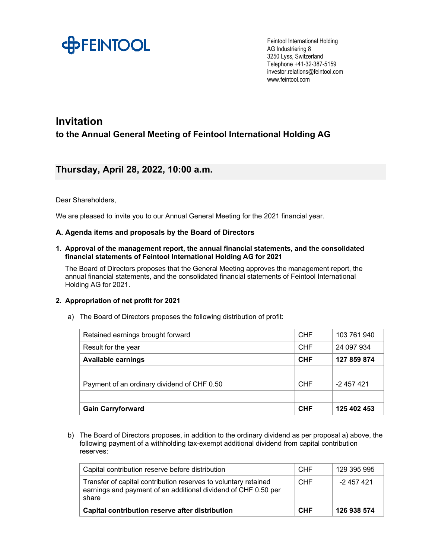

Feintool International Holding AG Industriering 8 3250 Lyss, Switzerland Telephone +41-32-387-5159 investor.relations@feintool.com www.feintool.com

# **Invitation**

**to the Annual General Meeting of Feintool International Holding AG** 

## **Thursday, April 28, 2022, 10:00 a.m.**

## Dear Shareholders,

We are pleased to invite you to our Annual General Meeting for the 2021 financial year.

## **A. Agenda items and proposals by the Board of Directors**

#### **1. Approval of the management report, the annual financial statements, and the consolidated financial statements of Feintool International Holding AG for 2021**

The Board of Directors proposes that the General Meeting approves the management report, the annual financial statements, and the consolidated financial statements of Feintool International Holding AG for 2021.

## **2. Appropriation of net profit for 2021**

| Retained earnings brought forward           | <b>CHF</b> | 103 761 940 |
|---------------------------------------------|------------|-------------|
| Result for the year                         | <b>CHF</b> | 24 097 934  |
| <b>Available earnings</b>                   | <b>CHF</b> | 127 859 874 |
|                                             |            |             |
| Payment of an ordinary dividend of CHF 0.50 | <b>CHF</b> | -2 457 421  |
|                                             |            |             |
| <b>Gain Carryforward</b>                    | <b>CHF</b> | 125 402 453 |

a) The Board of Directors proposes the following distribution of profit:

b) The Board of Directors proposes, in addition to the ordinary dividend as per proposal a) above, the following payment of a withholding tax-exempt additional dividend from capital contribution reserves:

| Capital contribution reserve before distribution                                                                                           | <b>CHF</b> | 129 395 995 |
|--------------------------------------------------------------------------------------------------------------------------------------------|------------|-------------|
| Transfer of capital contribution reserves to voluntary retained<br>earnings and payment of an additional dividend of CHF 0.50 per<br>share | <b>CHF</b> | -2 457 421  |
| Capital contribution reserve after distribution                                                                                            | <b>CHF</b> | 126 938 574 |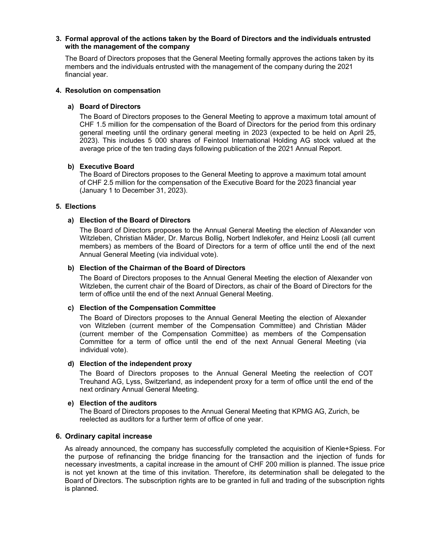#### **3. Formal approval of the actions taken by the Board of Directors and the individuals entrusted with the management of the company**

The Board of Directors proposes that the General Meeting formally approves the actions taken by its members and the individuals entrusted with the management of the company during the 2021 financial year.

#### **4. Resolution on compensation**

#### **a) Board of Directors**

The Board of Directors proposes to the General Meeting to approve a maximum total amount of CHF 1.5 million for the compensation of the Board of Directors for the period from this ordinary general meeting until the ordinary general meeting in 2023 (expected to be held on April 25, 2023). This includes 5 000 shares of Feintool International Holding AG stock valued at the average price of the ten trading days following publication of the 2021 Annual Report.

#### **b) Executive Board**

The Board of Directors proposes to the General Meeting to approve a maximum total amount of CHF 2.5 million for the compensation of the Executive Board for the 2023 financial year (January 1 to December 31, 2023).

#### **5. Elections**

#### **a) Election of the Board of Directors**

The Board of Directors proposes to the Annual General Meeting the election of Alexander von Witzleben, Christian Mäder, Dr. Marcus Bollig, Norbert Indlekofer, and Heinz Loosli (all current members) as members of the Board of Directors for a term of office until the end of the next Annual General Meeting (via individual vote).

#### **b) Election of the Chairman of the Board of Directors**

The Board of Directors proposes to the Annual General Meeting the election of Alexander von Witzleben, the current chair of the Board of Directors, as chair of the Board of Directors for the term of office until the end of the next Annual General Meeting.

#### **c) Election of the Compensation Committee**

The Board of Directors proposes to the Annual General Meeting the election of Alexander von Witzleben (current member of the Compensation Committee) and Christian Mäder (current member of the Compensation Committee) as members of the Compensation Committee for a term of office until the end of the next Annual General Meeting (via individual vote).

#### **d) Election of the independent proxy**

The Board of Directors proposes to the Annual General Meeting the reelection of COT Treuhand AG, Lyss, Switzerland, as independent proxy for a term of office until the end of the next ordinary Annual General Meeting.

#### **e) Election of the auditors**

The Board of Directors proposes to the Annual General Meeting that KPMG AG, Zurich, be reelected as auditors for a further term of office of one year.

#### **6. Ordinary capital increase**

As already announced, the company has successfully completed the acquisition of Kienle+Spiess. For the purpose of refinancing the bridge financing for the transaction and the injection of funds for necessary investments, a capital increase in the amount of CHF 200 million is planned. The issue price is not yet known at the time of this invitation. Therefore, its determination shall be delegated to the Board of Directors. The subscription rights are to be granted in full and trading of the subscription rights is planned.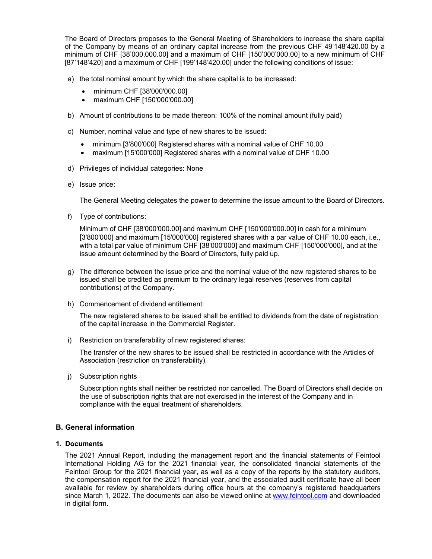The Board of Directors proposes to the General Meeting of Shareholders to increase the share capital of the Company by means of an ordinary capital increase from the previous CHF 49'148'420.00 by a minimum of CHF [38'000,000.00] and a maximum of CHF [150'000'000.00] to a new minimum of CHF [87'148'420] and a maximum of CHF [199'148'420.00] under the following conditions of issue:

- a) the total nominal amount by which the share capital is to be increased:
	- minimum CHF [38'000'000.00]
	- maximum CHF [150'000'000.00]
- b) Amount of contributions to be made thereon: 100% of the nominal amount (fully paid)
- c) Number, nominal value and type of new shares to be issued:
	- minimum [3'800'000] Registered shares with a nominal value of CHF 10.00
	- maximum [15'000'000] Registered shares with a nominal value of CHF 10.00
- d) Privileges of individual categories: None
- e) Issue price:

The General Meeting delegates the power to determine the issue amount to the Board of Directors.

f) Type of contributions:

Minimum of CHF [38'000'000.00] and maximum CHF [150'000'000.00] in cash for a minimum [3'800'000] and maximum [15'000'000] registered shares with a par value of CHF 10.00 each, i.e., with a total par value of minimum CHF [38'000'000] and maximum CHF [150'000'000], and at the issue amount determined by the Board of Directors, fully paid up.

- g) The difference between the issue price and the nominal value of the new registered shares to be issued shall be credited as premium to the ordinary legal reserves (reserves from capital contributions) of the Company.
- h) Commencement of dividend entitlement:

The new registered shares to be issued shall be entitled to dividends from the date of registration of the capital increase in the Commercial Register.

i) Restriction on transferability of new registered shares:

The transfer of the new shares to be issued shall be restricted in accordance with the Articles of Association (restriction on transferability).

j) Subscription rights

Subscription rights shall neither be restricted nor cancelled. The Board of Directors shall decide on the use of subscription rights that are not exercised in the interest of the Company and in compliance with the equal treatment of shareholders.

## **B. General information**

#### **1. Documents**

The 2021 Annual Report, including the management report and the financial statements of Feintool International Holding AG for the 2021 financial year, the consolidated financial statements of the Feintool Group for the 2021 financial year, as well as a copy of the reports by the statutory auditors, the compensation report for the 2021 financial year, and the associated audit certificate have all been available for review by shareholders during office hours at the company's registered headquarters since March 1, 2022. The documents can also be viewed online at www.feintool.com and downloaded in digital form.